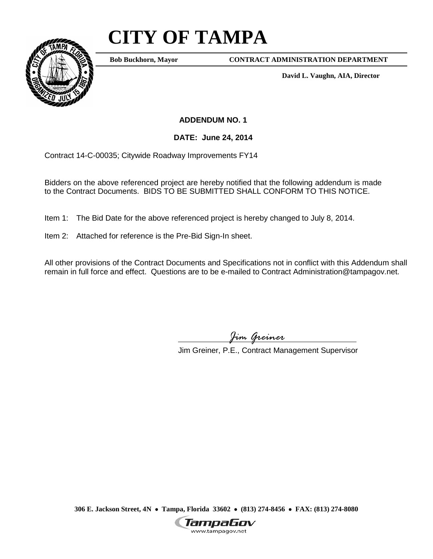## **CITY OF TAMPA**



**Bob Buckhorn, Mayor**

**CONTRACT ADMINISTRATION DEPARTMENT**

**David L. Vaughn, AIA, Director**

**ADDENDUM NO. 1**

**DATE: June 24, 2014**

Contract 14-C-00035; Citywide Roadway Improvements FY14

Bidders on the above referenced project are hereby notified that the following addendum is made to the Contract Documents. BIDS TO BE SUBMITTED SHALL CONFORM TO THIS NOTICE.

Item 1: The Bid Date for the above referenced project is hereby changed to July 8, 2014.

Item 2: Attached for reference is the Pre-Bid Sign-In sheet.

All other provisions of the Contract Documents and Specifications not in conflict with this Addendum shall remain in full force and effect. Questions are to be e-mailed to Contract Administration@tampagov.net.

*Jim Greiner*

Jim Greiner, P.E., Contract Management Supervisor

**306 E. Jackson Street, 4N** • **Tampa, Florida 33602** • **(813) 274-8456** • **FAX: (813) 274-8080**